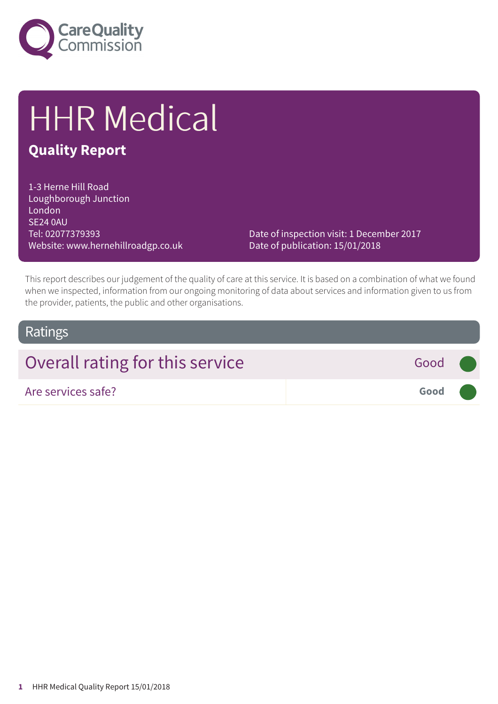

# HHR Medical

### **Quality Report**

1-3 Herne Hill Road Loughborough Junction London SE24 0AU Tel: 02077379393 Website: www.hernehillroadgp.co.uk

Date of inspection visit: 1 December 2017 Date of publication: 15/01/2018

This report describes our judgement of the quality of care at this service. It is based on a combination of what we found when we inspected, information from our ongoing monitoring of data about services and information given to us from the provider, patients, the public and other organisations.

### Ratings

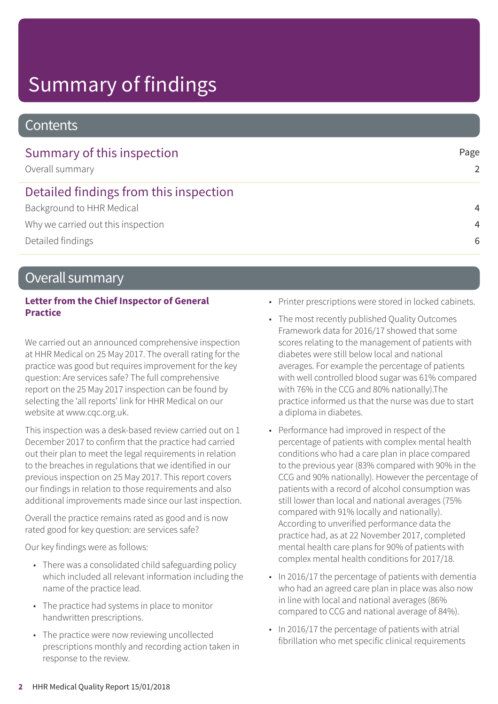# Summary of findings

### **Contents**

| Summary of this inspection<br>Overall summary | Page<br>$\mathcal{P}$ |
|-----------------------------------------------|-----------------------|
| Detailed findings from this inspection        |                       |
| Background to HHR Medical                     | $\overline{4}$        |
| Why we carried out this inspection            | $\overline{4}$        |
| Detailed findings                             | 6                     |

### Overall summary

### **Letter from the Chief Inspector of General Practice**

We carried out an announced comprehensive inspection at HHR Medical on 25 May 2017. The overall rating for the practice was good but requires improvement for the key question: Are services safe? The full comprehensive report on the 25 May 2017 inspection can be found by selecting the 'all reports' link for HHR Medical on our website at www.cqc.org.uk.

This inspection was a desk-based review carried out on 1 December 2017 to confirm that the practice had carried out their plan to meet the legal requirements in relation to the breaches in regulations that we identified in our previous inspection on 25 May 2017. This report covers our findings in relation to those requirements and also additional improvements made since our last inspection.

Overall the practice remains rated as good and is now rated good for key question: are services safe?

Our key findings were as follows:

- There was a consolidated child safeguarding policy which included all relevant information including the name of the practice lead.
- The practice had systems in place to monitor handwritten prescriptions.
- The practice were now reviewing uncollected prescriptions monthly and recording action taken in response to the review.
- Printer prescriptions were stored in locked cabinets.
- The most recently published Quality Outcomes Framework data for 2016/17 showed that some scores relating to the management of patients with diabetes were still below local and national averages. For example the percentage of patients with well controlled blood sugar was 61% compared with 76% in the CCG and 80% nationally).The practice informed us that the nurse was due to start a diploma in diabetes.
- Performance had improved in respect of the percentage of patients with complex mental health conditions who had a care plan in place compared to the previous year (83% compared with 90% in the CCG and 90% nationally). However the percentage of patients with a record of alcohol consumption was still lower than local and national averages (75% compared with 91% locally and nationally). According to unverified performance data the practice had, as at 22 November 2017, completed mental health care plans for 90% of patients with complex mental health conditions for 2017/18.
- In 2016/17 the percentage of patients with dementia who had an agreed care plan in place was also now in line with local and national averages (86% compared to CCG and national average of 84%).
- In 2016/17 the percentage of patients with atrial fibrillation who met specific clinical requirements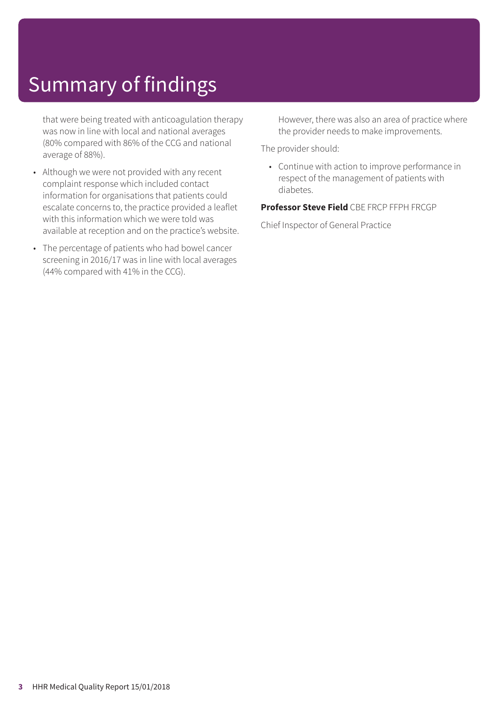# Summary of findings

that were being treated with anticoagulation therapy was now in line with local and national averages (80% compared with 86% of the CCG and national average of 88%).

- Although we were not provided with any recent complaint response which included contact information for organisations that patients could escalate concerns to, the practice provided a leaflet with this information which we were told was available at reception and on the practice's website.
- The percentage of patients who had bowel cancer screening in 2016/17 was in line with local averages (44% compared with 41% in the CCG).

However, there was also an area of practice where the provider needs to make improvements.

The provider should:

• Continue with action to improve performance in respect of the management of patients with diabetes.

**Professor Steve Field** CBE FRCP FFPH FRCGP

Chief Inspector of General Practice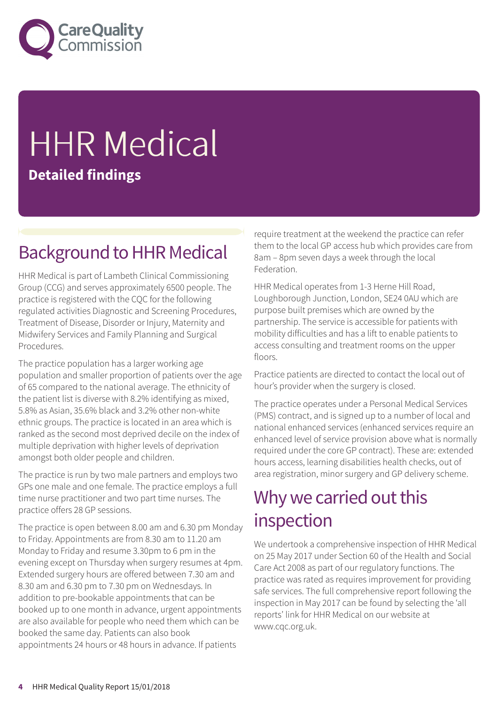

# **HHR Medical Detailed findings**

## **Background to HHR Medical**

HHR Medical is part of Lambeth Clinical Commissioning Group (CCG) and serves approximately 6500 people. The practice is registered with the CQC for the following regulated activities Diagnostic and Screening Procedures, Treatment of Disease, Disorder or Injury, Maternity and Midwifery Services and Family Planning and Surgical Procedures.

The practice population has a larger working age population and smaller proportion of patients over the age of 65 compared to the national average. The ethnicity of the patient list is diverse with 8.2% identifying as mixed, 5.8% as Asian, 35.6% black and 3.2% other non-white ethnic groups. The practice is located in an area which is ranked as the second most deprived decile on the index of multiple deprivation with higher levels of deprivation amongst both older people and children.

The practice is run by two male partners and employs two GPs one male and one female. The practice employs a full time nurse practitioner and two part time nurses. The practice offers 28 GP sessions.

The practice is open between 8.00 am and 6.30 pm Monday to Friday. Appointments are from 8.30 am to 11.20 am Monday to Friday and resume 3.30pm to 6 pm in the evening except on Thursday when surgery resumes at 4pm. Extended surgery hours are offered between 7.30 am and 8.30 am and 6.30 pm to 7.30 pm on Wednesdays. In addition to pre-bookable appointments that can be booked up to one month in advance, urgent appointments are also available for people who need them which can be booked the same day. Patients can also book appointments 24 hours or 48 hours in advance. If patients

require treatment at the weekend the practice can refer them to the local GP access hub which provides care from 8am – 8pm seven days a week through the local Federation.

HHR Medical operates from 1-3 Herne Hill Road, Loughborough Junction, London, SE24 0AU which are purpose built premises which are owned by the partnership. The service is accessible for patients with mobility difficulties and has a lift to enable patients to access consulting and treatment rooms on the upper floors.

Practice patients are directed to contact the local out of hour's provider when the surgery is closed.

The practice operates under a Personal Medical Services (PMS) contract, and is signed up to a number of local and national enhanced services (enhanced services require an enhanced level of service provision above what is normally required under the core GP contract). These are: extended hours access, learning disabilities health checks, out of area registration, minor surgery and GP delivery scheme.

## Why we carried out this inspection

We undertook a comprehensive inspection of HHR Medical on 25 May 2017 under Section 60 of the Health and Social Care Act 2008 as part of our regulatory functions. The practice was rated as requires improvement for providing safe services. The full comprehensive report following the inspection in May 2017 can be found by selecting the 'all reports' link for HHR Medical on our website at www.cqc.org.uk.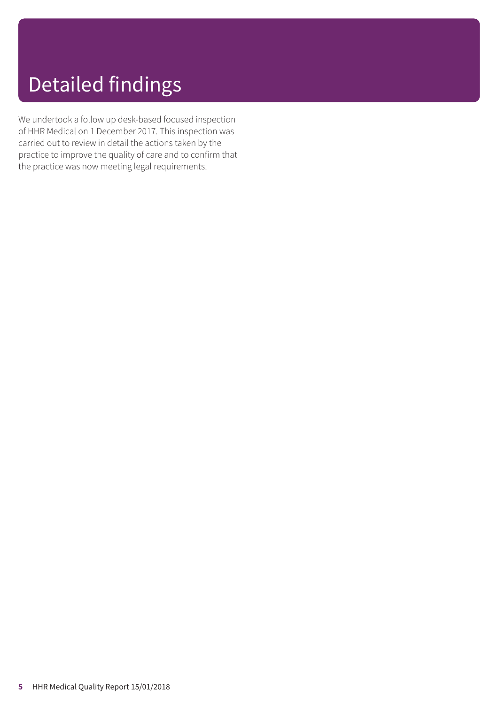# Detailed findings

We undertook a follow up desk-based focused inspection of HHR Medical on 1 December 2017. This inspection was carried out to review in detail the actions taken by the practice to improve the quality of care and to confirm that the practice was now meeting legal requirements.